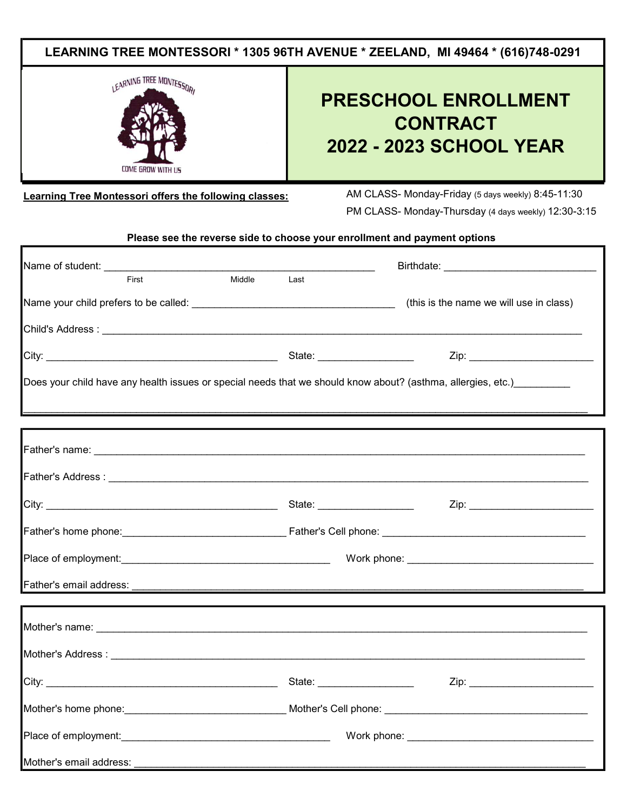

Learning Tree Montessori offers the following classes: AM CLASS- Monday-Friday (5 days weekly) 8:45-11:30

PM CLASS- Monday-Thursday (4 days weekly) 12:30-3:15

Please see the reverse side to choose your enrollment and payment options

| First                   | Middle | Last |                                                                                                                       |  |
|-------------------------|--------|------|-----------------------------------------------------------------------------------------------------------------------|--|
|                         |        |      | (this is the name we will use in class)                                                                               |  |
|                         |        |      |                                                                                                                       |  |
|                         |        |      |                                                                                                                       |  |
|                         |        |      | Does your child have any health issues or special needs that we should know about? (asthma, allergies, etc.)_________ |  |
|                         |        |      |                                                                                                                       |  |
|                         |        |      |                                                                                                                       |  |
|                         |        |      |                                                                                                                       |  |
|                         |        |      |                                                                                                                       |  |
|                         |        |      |                                                                                                                       |  |
|                         |        |      |                                                                                                                       |  |
|                         |        |      |                                                                                                                       |  |
|                         |        |      |                                                                                                                       |  |
| Father's email address: |        |      |                                                                                                                       |  |
|                         |        |      |                                                                                                                       |  |
|                         |        |      |                                                                                                                       |  |
|                         |        |      |                                                                                                                       |  |
|                         |        |      |                                                                                                                       |  |
|                         |        |      |                                                                                                                       |  |
|                         |        |      |                                                                                                                       |  |
|                         |        |      |                                                                                                                       |  |
| Mother's email address: |        |      |                                                                                                                       |  |